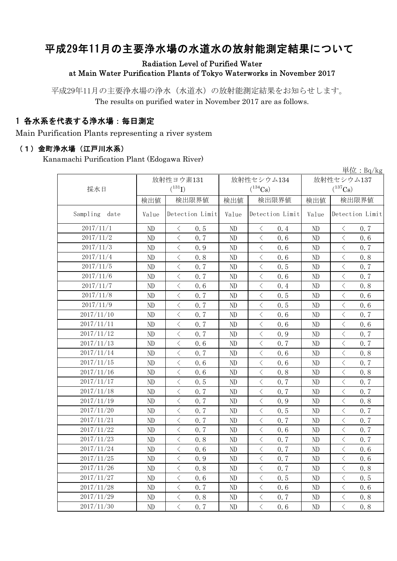# 平成29年11月の主要浄水場の水道水の放射能測定結果について

### Radiation Level of Purified Water at Main Water Purification Plants of Tokyo Waterworks in November 2017

平成29年11月の主要浄水場の浄水(水道水)の放射能測定結果をお知らせします。 The results on purified water in November 2017 are as follows.

## 1 各水系を代表する浄水場:毎日測定

Main Purification Plants representing a river system

#### (1)金町浄水場(江戸川水系)

Kanamachi Purification Plant (Edogawa River)

|                  |       | 放射性ヨウ素131             |       | 放射性セシウム134                                      | 早位: $Bq/kg$<br>放射性セシウム137 |                                                 |  |
|------------------|-------|-----------------------|-------|-------------------------------------------------|---------------------------|-------------------------------------------------|--|
| 採水日              |       | $(^{131}I)$           |       | $(^{134}Cs)$                                    | $(^{137}\mathrm{Cs})$     |                                                 |  |
|                  | 検出値   | 検出限界値                 | 検出値   | 検出限界値                                           | 検出値                       | 検出限界値                                           |  |
|                  |       |                       |       |                                                 |                           |                                                 |  |
| Sampling<br>date | Value | Detection Limit       | Value | Detection Limit                                 | Value                     | Detection Limit                                 |  |
| 2017/11/1        | ND    | 0.5<br>$\lt$          | ND    | $\lt$<br>0.4                                    | ND                        | 0.7<br>$\langle$                                |  |
| 2017/11/2        | ND    | $\lt$<br>0.7          | ND    | $\langle$<br>0, 6                               | ND                        | $\langle$<br>0.6                                |  |
| 2017/11/3        | ND    | $\lt$<br>0.9          | ND    | $\lt$<br>0.6                                    | ND                        | $\overline{\left\langle \right\rangle }$<br>0.7 |  |
| 2017/11/4        | ND    | $\, < \,$<br>0.8      | ND    | $\lt$<br>0.6                                    | ND                        | $\lt$<br>0.8                                    |  |
| 2017/11/5        | ND    | $\, < \,$<br>0.7      | ND    | $\lt$<br>0.5                                    | ND                        | $\lt$<br>0.7                                    |  |
| 2017/11/6        | ND    | $\, < \,$<br>0.7      | ND    | $\,$ $\,$ $\,$<br>0.6                           | ND                        | $\lt$<br>0.7                                    |  |
| 2017/11/7        | ND    | $\langle$<br>0.6      | ND    | $\langle$<br>0.4                                | ND                        | 0.8<br>$\langle$                                |  |
| 2017/11/8        | ND    | $\lt$<br>0.7          | ND    | $\langle$<br>0.5                                | ND                        | $\langle$<br>0.6                                |  |
| 2017/11/9        | ND    | $\lt$<br>0.7          | ND    | $\lt$<br>0.5                                    | ND                        | $\lt$<br>0.6                                    |  |
| 2017/11/10       | ND    | $\,$ $\,$ $\,$<br>0.7 | ND    | $\overline{\left\langle \right\rangle }$<br>0.6 | ND                        | $\overline{\left\langle \right\rangle }$<br>0.7 |  |
| 2017/11/11       | ND    | $\,$ $\,$ $\,$<br>0.7 | ND    | $\,$ $\,$ $\,$<br>0.6                           | ND                        | $\langle$<br>0.6                                |  |
| 2017/11/12       | ND    | $\langle$<br>0.7      | ND    | $\lt$<br>0.9                                    | ND                        | $\langle$<br>0.7                                |  |
| 2017/11/13       | ND    | $\langle$<br>0.6      | ND    | $\langle$<br>0.7                                | ND                        | $\overline{\left\langle \right\rangle }$<br>0.7 |  |
| 2017/11/14       | ND    | $\,$ $\,$ $\,$<br>0.7 | ND    | $\,$ $\,$ $\,$<br>0.6                           | ND                        | $\lt$<br>0.8                                    |  |
| 2017/11/15       | ND    | $\, <\,$<br>0.6       | ND    | $\,$ $\,$ $\,$<br>0.6                           | ND                        | $\lt$<br>0.7                                    |  |
| 2017/11/16       | ND    | $\, <\,$<br>0.6       | ND    | $\hspace{0.1mm} <\hspace{0.1mm}$<br>0.8         | ND                        | $\lt$<br>0.8                                    |  |
| 2017/11/17       | ND    | $\langle$<br>0.5      | ND    | $\,$ $\,$ $\,$<br>0, 7                          | ND                        | $\lt$<br>0.7                                    |  |
| 2017/11/18       | ND    | $\langle$<br>0, 7     | ND    | $\lt$<br>0.7                                    | ND                        | 0.7<br>$\lt$                                    |  |
| 2017/11/19       | ND    | $\,$ $\,$ $\,$<br>0.7 | ND    | $\langle$<br>0.9                                | ND                        | $\lt$<br>0.8                                    |  |
| 2017/11/20       | ND    | $\,$ $\,$ $\,$<br>0.7 | ND    | $\langle$<br>0.5                                | ND                        | $\lt$<br>0.7                                    |  |
| 2017/11/21       | ND    | $\,$ $\,$ $\,$<br>0.7 | ND    | $\overline{\left\langle \right\rangle }$<br>0.7 | ND                        | $\overline{\left\langle \right\rangle }$<br>0.7 |  |
| 2017/11/22       | ND    | $\,$ $\,$ $\,$<br>0.7 | ND    | $\overline{\left\langle \right\rangle }$<br>0.6 | ND                        | $\overline{\left\langle \right\rangle }$<br>0.7 |  |
| 2017/11/23       | ND    | $\langle$<br>0.8      | ND    | $\lt$<br>0.7                                    | ND                        | $\langle$<br>0.7                                |  |
| 2017/11/24       | ND    | $\,$ $\,$ $\,$<br>0.6 | ND    | $\,$ $\,$ $\,$<br>0.7                           | ND                        | $\lt$<br>0.6                                    |  |
| 2017/11/25       | ND    | $\langle$<br>0.9      | ND    | $\langle$<br>0.7                                | ND                        | $\lt$<br>0.6                                    |  |
| 2017/11/26       | ND    | $\lt$<br>0.8          | ND    | $\, \leq$<br>0.7                                | ND                        | $\lt$<br>0.8                                    |  |
| 2017/11/27       | ND    | $\langle$<br>0.6      | ND    | $\lt$<br>0.5                                    | ND                        | $\lt$<br>0.5                                    |  |
| 2017/11/28       | ND    | $\lt$<br>0, 7         | ND    | $\langle$<br>0.6                                | ND                        | $\langle$<br>0.6                                |  |
| 2017/11/29       | ND    | $\,$ $\,$ $\,$<br>0.8 | ND    | $\langle$<br>0.7                                | ND                        | $\lt$<br>0.8                                    |  |
| 2017/11/30       | ND    | $\langle$<br>0.7      | ND    | $\overline{\left\langle \right\rangle }$<br>0.6 | ND                        | $\overline{\left\langle \right\rangle }$<br>0.8 |  |

 $\mathcal{W}$ : B<sub>q</sub>/kg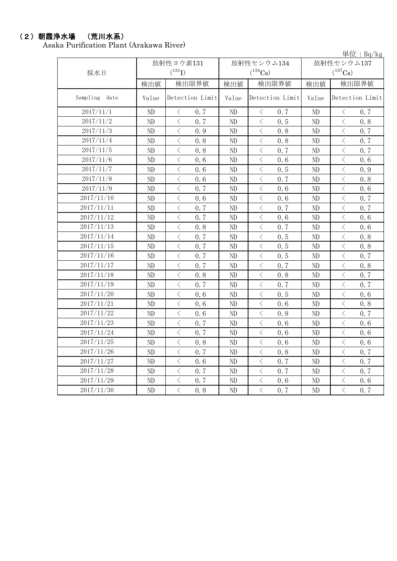#### (2)朝霞浄水場 (荒川水系)

Asaka Purification Plant (Arakawa River)

単位:Bq/kg

|               | 放射性ヨウ素131 |                                                 | 放射性セシウム134 | $+1$ $+1$ $+1$ $+1$ $+1$ $+1$<br>放射性セシウム137      |          |                                                  |  |
|---------------|-----------|-------------------------------------------------|------------|--------------------------------------------------|----------|--------------------------------------------------|--|
| 採水日           |           | $(^{131}I)$                                     |            | $(^{134}Cs)$                                     |          | $(^{137}\mathrm{Cs})$                            |  |
|               | 検出値       | 検出限界値                                           | 検出値        | 検出限界値                                            |          | 検出限界値                                            |  |
| Sampling date | Value     | Detection Limit                                 | Value      | Detection Limit                                  | Value    | Detection Limit                                  |  |
| 2017/11/1     | ND        | $\langle$<br>0.7                                | ND         | $\langle$<br>0.7                                 | ND       | $\, \leq$<br>0.7                                 |  |
| 2017/11/2     | ND        | $\langle$<br>0.7                                | ND         | $\langle$<br>0.5                                 | ND       | $\langle$<br>0.8                                 |  |
| 2017/11/3     | $\rm ND$  | $\langle$<br>0.9                                | $\rm ND$   | $\,$ $\,$ $\,$<br>0.8                            | $\rm ND$ | $\langle$<br>0.7                                 |  |
| 2017/11/4     | ND        | $\overline{\left\langle \right\rangle }$<br>0.8 | ND         | $\langle$<br>0.8                                 | ND       | 0.7<br>$\lt$                                     |  |
| 2017/11/5     | ND        | $\overline{\left\langle \right\rangle }$<br>0.8 | ND         | $\overline{\left\langle \right\rangle }$<br>0.7  | ND       | $\overline{\left\langle \right\rangle }$<br>0, 7 |  |
| 2017/11/6     | ND        | $\lt$<br>0.6                                    | ND         | $\,$ $\,$ $\,$<br>0.6                            | ND       | $\overline{\left\langle \right\rangle }$<br>0.6  |  |
| 2017/11/7     | ND        | $\langle$<br>0.6                                | ND         | $\langle$<br>0.5                                 | ND       | $\langle$<br>0.9                                 |  |
| 2017/11/8     | $\rm ND$  | $\langle$<br>0.6                                | $\rm ND$   | $\langle$<br>0.7                                 | ND       | $\overline{\left\langle \right\rangle }$<br>0.8  |  |
| 2017/11/9     | $\rm ND$  | $\lt$<br>0.7                                    | ND         | $\langle$<br>0.6                                 | ND       | $\langle$<br>0.6                                 |  |
| 2017/11/10    | $\rm ND$  | $\lt$<br>0.6                                    | $\rm ND$   | $\hspace{0.1mm}\big\langle$<br>0.6               | $\rm ND$ | $\,<\,$<br>0.7                                   |  |
| 2017/11/11    | $\rm ND$  | $\langle$<br>0, 7                               | $\rm ND$   | $\langle$<br>0.7                                 | $\rm ND$ | $\lt$<br>0.7                                     |  |
| 2017/11/12    | ND        | $\langle$<br>0.7                                | ND         | $\langle$<br>0.6                                 | ND       | $\lt$<br>0.6                                     |  |
| 2017/11/13    | ND        | $\langle$<br>0.8                                | ND         | $\,$ $\,$ $\,$<br>0.7                            | $\rm ND$ | $\lt$<br>0.6                                     |  |
| 2017/11/14    | ND        | $\lt$<br>0.7                                    | ND         | $\langle$<br>0.5                                 | ND       | $\lt$<br>0.8                                     |  |
| 2017/11/15    | ND        | $\langle$<br>0.7                                | ND         | $\langle$<br>0.5                                 | ND       | $\overline{\left\langle \right\rangle }$<br>0.8  |  |
| 2017/11/16    | ND        | $\langle$<br>0.7                                | ND         | $\langle$<br>0.5                                 | ND       | $\langle$<br>0.7                                 |  |
| 2017/11/17    | $\rm ND$  | $\overline{\left\langle \right\rangle }$<br>0.7 | $\rm ND$   | $\langle$<br>0.7                                 | $\rm ND$ | $\overline{\left\langle \right\rangle }$<br>0.8  |  |
| 2017/11/18    | ND        | $\, \big\langle \,$<br>0.8                      | ND         | $\lt$<br>0.8                                     | ND       | $\lt$<br>0.7                                     |  |
| 2017/11/19    | ND        | $\, <\,$<br>0.7                                 | ND         | $\,$ $\,$ $\,$<br>0.7                            | ND       | $\lt$<br>0.7                                     |  |
| 2017/11/20    | $\rm ND$  | $\, \big\langle \,$<br>0.6                      | ND         | $\,$ $\,$ $\,$<br>0.5                            | ND       | $\lt$<br>0.6                                     |  |
| 2017/11/21    | $\rm ND$  | $\langle$<br>0.6                                | ND         | $\lt$<br>0.6                                     | ND       | $\lt$<br>0.8                                     |  |
| 2017/11/22    | ND        | $\langle$<br>0.6                                | ND         | $\langle$<br>0.8                                 | $\rm ND$ | $\overline{\left\langle \right\rangle }$<br>0.7  |  |
| 2017/11/23    | ND        | $\langle$<br>0.7                                | ND         | $\,$ $\,$ $\,$<br>0.6                            | $\rm ND$ | $\langle$<br>0.6                                 |  |
| 2017/11/24    | $\rm ND$  | $\langle$<br>0.7                                | $\rm ND$   | $\langle$<br>0.6                                 | $\rm ND$ | $\langle$<br>0.6                                 |  |
| 2017/11/25    | ND        | $\langle$<br>0.8                                | ND         | $\overline{\left\langle \right\rangle }$<br>0.6  | ND       | $\langle$<br>0.6                                 |  |
| 2017/11/26    | $\rm ND$  | $\langle$<br>0.7                                | $\rm ND$   | $\langle$<br>0.8                                 | $\rm ND$ | $\langle$<br>0.7                                 |  |
| 2017/11/27    | $\rm ND$  | $\, \big\langle \,$<br>0.6                      | ND         | $\langle$<br>0.7                                 | ND       | $\lt$<br>0.7                                     |  |
| 2017/11/28    | ND        | $\,$ $\,$ $\,$<br>0.7                           | ND         | $\overline{\left\langle \right\rangle }$<br>0, 7 | ND       | $\langle$<br>0.7                                 |  |
| 2017/11/29    | $\rm ND$  | $\, \big\langle \,$<br>0.7                      | $\rm ND$   | $\,$ $\,$ $\,$<br>0.6                            | $\rm ND$ | $\lt$<br>0.6                                     |  |
| 2017/11/30    | ND        | $\langle$<br>0, 8                               | $\rm ND$   | $\langle$<br>0.7                                 | $\rm ND$ | $\lt$<br>0.7                                     |  |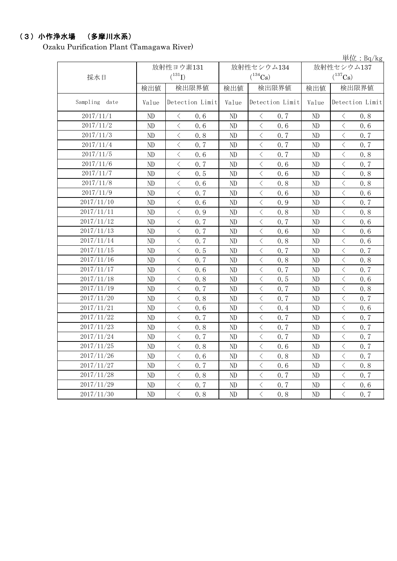#### (3)小作浄水場 (多摩川水系)

Ozaku Purification Plant (Tamagawa River)

単位:Bq/kg 検出値 | 検出限量 | 検出限界値 | 検出値 | 検出限界値 Value Detection Limit Value Detection Limit Value ND < 0.6 ND < 0.7 ND < 0.8 ND  $\vert$  < 0.6 ND  $\vert$  < 0.6 ND  $\vert$  < 0.6 ND  $\vert$   $\langle$  0.8  $\vert$  ND  $\vert$   $\langle$  0.7  $\vert$  ND  $\vert$   $\langle$  0.7 ND  $\vert$   $\langle$  0.7  $\vert$  ND  $\vert$   $\langle$  0.7  $\vert$  ND  $\vert$   $\langle$  0.7 ND < 0.6 ND < 0.7 ND < 0.8 ND  $\vert$   $\langle$  0.7  $\vert$  ND  $\vert$   $\langle$  0.6  $\vert$  ND  $\vert$   $\langle$  0.7 ND < 0.5 ND < 0.6 ND < 0.8 ND < 0.6 ND < 0.8 ND < 0.8 ND  $\vert$  < 0.7 | ND  $\vert$  < 0.6 | ND | < 0.6 ND < 0.6 ND < 0.9 ND < 0.7 ND < 0.9 ND < 0.8 ND < 0.8 ND  $\vert$   $\langle$  0.7  $\vert$  ND  $\vert$   $\langle$  0.7  $\vert$  ND  $\vert$   $\langle$  0.6 ND < 0.7 ND < 0.6 ND < 0.6 ND < 0.7 ND < 0.8 ND < 0.6 ND  $\vert$   $\langle$  0.5  $\vert$  ND  $\vert$   $\langle$  0.7  $\vert$  ND  $\vert$   $\langle$  0.7 ND  $\vert$  < 0.7 | ND  $\vert$  < 0.8 | ND | < 0.8 ND < 0.6 ND < 0.7 ND < 0.7 ND < 0.8 ND < 0.5 ND < 0.6 ND  $\vert$  < 0.7 | ND  $\vert$  < 0.7 | ND  $\vert$  < 0.8 ND  $\vert$   $\langle$  0.8  $\vert$  ND  $\vert$   $\langle$  0.7  $\vert$  ND  $\vert$   $\langle$  0.7 ND < 0.6 ND < 0.4 ND < 0.6 ND  $\vert$   $\langle$  0.7  $\vert$  ND  $\vert$   $\langle$  0.7  $\vert$  ND  $\vert$   $\langle$  0.7 ND  $\vert$   $\langle$  0.8  $\vert$  ND  $\vert$   $\langle$  0.7  $\vert$  ND  $\vert$   $\langle$  0.7 ND  $\vert$   $\langle$  0.7  $\vert$  ND  $\vert$   $\langle$  0.7  $\vert$  ND  $\vert$   $\langle$  0.7 ND < 0.8 ND < 0.6 ND < 0.7 ND < 0.6 ND < 0.8 ND < 0.7 ND < 0.7 ND < 0.6 ND < 0.8 ND  $\vert$   $\langle$  0.8  $\vert$  ND  $\vert$   $\langle$  0.7  $\vert$  ND  $\vert$   $\langle$  0.7 ND < 0.7 ND < 0.7 ND < 0.6 ND < 0.8 ND < 0.8 ND < 0.7 2017/11/10 放射性セシウム134  $(^{134}\mathrm{Cs})$ 2017/11/14 2017/11/25 2017/11/23 2017/11/17 2017/11/11 Detection Limit 放射性セシウム137  $(^{137}\mathrm{Cs})$ 2017/11/12 2017/11/13 放射性ヨウ素131  $(^{131}\text{I})$ 2017/11/2 Detection Limit 検出限界値 2017/11/30 2017/11/18 2017/11/1 2017/11/5 2017/11/6 Sampling date 2017/11/8 2017/11/3 2017/11/7 2017/11/9 2017/11/15 2017/11/29 2017/11/28 2017/11/27 2017/11/26 2017/11/24 2017/11/22 2017/11/20 2017/11/19 2017/11/21 2017/11/16 採水日 2017/11/4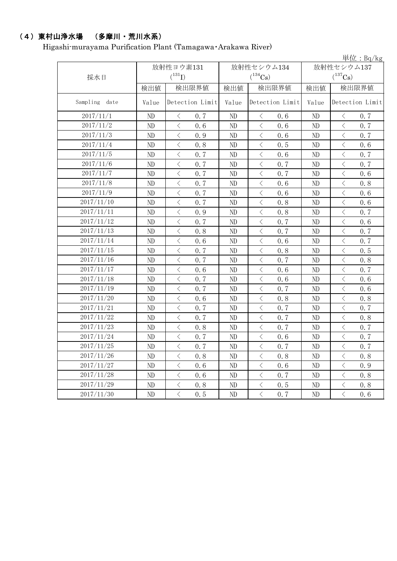# (4)東村山浄水場 (多摩川・荒川水系)

Higashi-murayama Purification Plant (Tamagawa・Arakawa River)

|               |          |                                          |                 |          |                                          |                 |              |                                          | 単位: Bq/kg       |  |
|---------------|----------|------------------------------------------|-----------------|----------|------------------------------------------|-----------------|--------------|------------------------------------------|-----------------|--|
|               |          | 放射性ヨウ素131                                |                 |          | 放射性セシウム134                               |                 |              | 放射性セシウム137                               |                 |  |
| 採水日           |          | $(^{131}I)$                              |                 |          | $(^{134}Cs)$                             |                 |              | $(^{137}\mathrm{Cs})$                    |                 |  |
|               | 検出値      | 検出限界値                                    |                 | 検出値      | 検出限界値                                    |                 | 検出限界値<br>検出値 |                                          |                 |  |
| Sampling date | Value    |                                          | Detection Limit | Value    |                                          | Detection Limit | Value        |                                          | Detection Limit |  |
| 2017/11/1     | ND.      | $\lt$                                    | 0, 7            | ND       | $\langle$                                | 0, 6            | ND           | $\langle$                                | 0.7             |  |
| 2017/11/2     | ND       | $\langle$                                | 0.6             | ND       | $\langle$                                | 0.6             | ND           | $\langle$                                | 0.7             |  |
| 2017/11/3     | ND       | $\langle$                                | 0.9             | ND       | $\langle$                                | 0.6             | ND           | $\overline{\left\langle \right\rangle }$ | 0.7             |  |
| 2017/11/4     | ND       | $\,$ $\,$ $\,$                           | 0.8             | ND       | $\langle$                                | 0.5             | ND           | $\langle$                                | 0.6             |  |
| 2017/11/5     | ND       | $\langle$                                | 0.7             | ND       | $\langle$                                | 0.6             | ND           | $\, <\,$                                 | 0.7             |  |
| 2017/11/6     | ND       | $\langle$                                | 0.7             | ND       | $\langle$                                | 0.7             | ND           | $\,$ $\,$ $\,$                           | 0.7             |  |
| 2017/11/7     | ND       | $\bigl\langle$                           | 0.7             | ND       | $\langle$                                | 0.7             | ND           | $\hspace{0.1cm}\big\langle$              | 0.6             |  |
| 2017/11/8     | ND       | $\langle$                                | 0.7             | ND       | $\langle$                                | 0, 6            | ND           | $\overline{\left\langle \right\rangle }$ | 0.8             |  |
| 2017/11/9     | ND       | $\overline{\left\langle \right\rangle }$ | 0.7             | ND       | $\langle$                                | 0.6             | ND           | $\langle$                                | 0.6             |  |
| 2017/11/10    | ND       | $\langle$                                | 0.7             | ND       | $\langle$                                | 0.8             | ND           | $\overline{\left\langle \right\rangle }$ | 0.6             |  |
| 2017/11/11    | ND       | $\langle$                                | 0.9             | ND       | $\langle$                                | 0.8             | ND           | $\lt$                                    | 0.7             |  |
| 2017/11/12    | ND       | $\langle$                                | 0, 7            | ND       | $\langle$                                | 0.7             | ND           | $\langle$                                | 0.6             |  |
| 2017/11/13    | ND       | $\overline{\left\langle \right\rangle }$ | 0.8             | ND       | $\overline{\left\langle \right\rangle }$ | 0.7             | ND           | $\overline{\left\langle \right\rangle }$ | 0.7             |  |
| 2017/11/14    | ND       | $\overline{\left\langle \right\rangle }$ | 0.6             | ND       | $\langle$                                | 0.6             | ND           | $\overline{\left\langle \right\rangle }$ | 0.7             |  |
| 2017/11/15    | $\rm ND$ | $\langle$                                | 0.7             | ND       | $\langle$                                | 0.8             | ND           | $\langle$                                | 0.5             |  |
| 2017/11/16    | ND       | $\overline{\left\langle \right\rangle }$ | 0.7             | ND       | $\langle$                                | 0, 7            | ND           | $\overline{\left\langle \right\rangle }$ | 0.8             |  |
| 2017/11/17    | $\rm ND$ | $\langle$                                | 0.6             | ND       | $\langle$                                | 0.6             | ND           | $\,$ $\,$ $\,$                           | 0.7             |  |
| 2017/11/18    | ND       | $\langle$                                | 0.7             | ND       | $\langle$                                | 0.6             | ND           | $\overline{\left\langle \right\rangle }$ | 0.6             |  |
| 2017/11/19    | $\rm ND$ | $\langle$                                | 0.7             | ND       | $\langle$                                | 0, 7            | ND           | $\lt$                                    | 0.6             |  |
| 2017/11/20    | ND       | $\langle$                                | 0, 6            | ND       | $\langle$                                | 0.8             | ND           | $\,$ $\,$ $\,$                           | 0.8             |  |
| 2017/11/21    | ND       | $\bigl\langle$                           | 0.7             | ND       | $\, \big\langle \,$                      | 0.7             | $\rm ND$     | $\langle$                                | 0.7             |  |
| 2017/11/22    | ND       | $\langle$                                | 0, 7            | ND       | $\langle$                                | 0, 7            | ND           | $\,$ $\,$ $\,$                           | 0.8             |  |
| 2017/11/23    | ND       | $\langle$                                | 0.8             | ND       | $\langle$                                | 0.7             | ND           | $\langle$                                | 0.7             |  |
| 2017/11/24    | ND       | $\langle$                                | 0.7             | $\rm ND$ | $\langle$                                | 0.6             | ND           | $\langle$                                | 0.7             |  |
| 2017/11/25    | ND       | $\langle$                                | 0.7             | ND       | $\langle$                                | 0.7             | ND           | $\,$ $\,$ $\,$                           | 0.7             |  |
| 2017/11/26    | ND       | $\lt$                                    | 0.8             | ND       | $\langle$                                | 0.8             | ND           | $\lt$                                    | 0.8             |  |
| 2017/11/27    | ND       | $\overline{\left\langle \right\rangle }$ | 0.6             | ND       | $\langle$                                | 0.6             | ND           | $\overline{\left\langle \right\rangle }$ | 0.9             |  |
| 2017/11/28    | ND       | $\langle$                                | 0.6             | ND       | $\langle$                                | 0.7             | ND           | $\overline{\left\langle \right\rangle }$ | 0.8             |  |
| 2017/11/29    | ND       | $\,$ $\,$ $\,$                           | 0.8             | ND       | $\langle$                                | 0, 5            | $\rm ND$     | $\bigg\langle$                           | 0.8             |  |
| 2017/11/30    | ND       | $\langle$                                | 0.5             | ND       | $\langle$                                | 0.7             | ND           | $\overline{\left\langle \right\rangle }$ | 0.6             |  |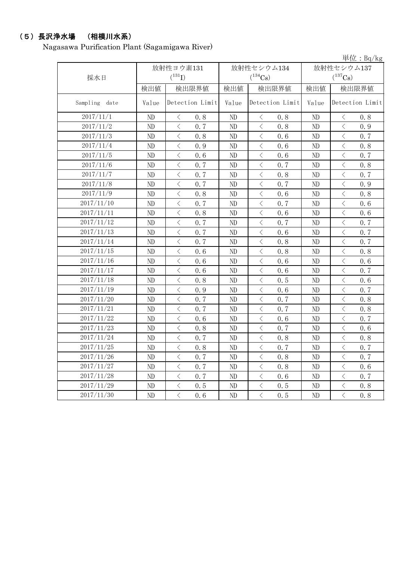# (5)長沢浄水場 (相模川水系)

Nagasawa Purification Plant (Sagamigawa River)

|               |       |                                                 |       |                                                 |            | 単位: Bq/kg                                       |  |
|---------------|-------|-------------------------------------------------|-------|-------------------------------------------------|------------|-------------------------------------------------|--|
|               |       | 放射性ヨウ素131                                       |       | 放射性セシウム134                                      | 放射性セシウム137 |                                                 |  |
| 採水日           |       | $(^{131}I)$                                     |       | $(^{134}Cs)$                                    |            | $(^{137}Cs)$                                    |  |
|               | 検出値   | 検出限界値                                           | 検出値   | 検出限界値                                           | 検出値        | 検出限界値                                           |  |
| Sampling date | Value | Detection Limit                                 | Value | Detection Limit                                 | Value      | Detection Limit                                 |  |
| 2017/11/1     | ND    | $\langle$<br>0.8                                | ND    | $\langle$<br>0.8                                | ND         | $\lt$<br>0.8                                    |  |
| 2017/11/2     | ND    | $\langle$<br>0.7                                | ND    | $\langle$<br>0.8                                | ND         | $\langle$<br>0.9                                |  |
| 2017/11/3     | ND    | $\langle$<br>0.8                                | ND    | $\lt$<br>0.6                                    | ND         | $\overline{\left\langle \right\rangle }$<br>0.7 |  |
| 2017/11/4     | ND    | $\lt$<br>0.9                                    | ND    | $\langle$<br>0, 6                               | ND         | $\langle$<br>0.8                                |  |
| 2017/11/5     | ND    | $\, <\,$<br>0.6                                 | ND    | $\lt$<br>0.6                                    | ND         | $\, \zeta \,$<br>0.7                            |  |
| 2017/11/6     | ND    | $\langle$<br>0.7                                | ND    | $\,$ $\,$ $\,$<br>0.7                           | ND         | $\, <\,$<br>0.8                                 |  |
| 2017/11/7     | ND    | $\langle$<br>0.7                                | ND    | 0, 8<br>$\langle$                               | ND         | $\langle$<br>0.7                                |  |
| 2017/11/8     | ND    | $\langle$<br>0.7                                | ND    | $\langle$<br>0.7                                | ND         | $\langle$<br>0.9                                |  |
| 2017/11/9     | ND    | $\langle$<br>0.8                                | ND    | $\lt$<br>0.6                                    | ND         | $\langle$<br>0.8                                |  |
| 2017/11/10    | ND    | $\lt$<br>0.7                                    | ND    | $\lt$<br>0.7                                    | ND         | $\lt$<br>0.6                                    |  |
| 2017/11/11    | ND    | $\langle$<br>0.8                                | ND    | $\lt$<br>0.6                                    | ND         | $\lt$<br>0.6                                    |  |
| 2017/11/12    | ND    | $\langle$<br>0.7                                | ND    | $\overline{\left\langle \right\rangle }$<br>0.7 | ND         | $\lt$<br>0.7                                    |  |
| 2017/11/13    | ND    | $\,$ $\,$ $\,$<br>0.7                           | ND    | $\langle$<br>0.6                                | ND         | $\langle$<br>0.7                                |  |
| 2017/11/14    | ND    | $\,$ $\,$ $\,$<br>0.7                           | ND    | $\overline{\left\langle \right\rangle }$<br>0.8 | ND         | $\langle$<br>0.7                                |  |
| 2017/11/15    | ND    | $\overline{\left\langle \right\rangle }$<br>0.6 | ND    | $\lt$<br>0.8                                    | ND         | $\lt$<br>0.8                                    |  |
| 2017/11/16    | ND    | $\,$ $\,$ $\,$<br>0.6                           | ND    | $\langle$<br>0.6                                | ND         | $\langle$<br>0.6                                |  |
| 2017/11/17    | ND    | $\langle$<br>0.6                                | ND    | $\langle$<br>0.6                                | ND         | $\langle$<br>0, 7                               |  |
| 2017/11/18    | ND    | $\langle$<br>0.8                                | ND    | $\langle$<br>0.5                                | ND         | $\langle$<br>0.6                                |  |
| 2017/11/19    | ND    | $\langle$<br>0.9                                | ND    | $\langle$<br>0.6                                | ND         | $\lt$<br>0.7                                    |  |
| 2017/11/20    | ND    | $\, <\,$<br>0.7                                 | ND    | $\, <\,$<br>0.7                                 | ND         | $\, \zeta \,$<br>0.8                            |  |
| 2017/11/21    | ND    | $\lt$<br>0.7                                    | ND    | $\lt$<br>0.7                                    | ND         | $\lt$<br>0.8                                    |  |
| 2017/11/22    | ND    | $\lt$<br>0.6                                    | ND    | $\lt$<br>0.6                                    | $\rm ND$   | $\langle$<br>0.7                                |  |
| 2017/11/23    | ND    | $\langle$<br>0.8                                | ND    | $\lt$<br>0.7                                    | ND         | $\langle$<br>0.6                                |  |
| 2017/11/24    | ND    | $\langle$<br>0.7                                | ND    | $\langle$<br>0.8                                | $\rm ND$   | $\lt$<br>0.8                                    |  |
| 2017/11/25    | ND    | $\langle$<br>0.8                                | ND    | $\langle$<br>0.7                                | ND         | $\langle$<br>0.7                                |  |
| 2017/11/26    | ND    | $\,$ $\,$ $\,$<br>0.7                           | ND    | $\langle$<br>0.8                                | ND         | $\langle$<br>0.7                                |  |
| 2017/11/27    | ND    | $\lt$<br>0.7                                    | ND    | $\lt$<br>0.8                                    | ND         | $\langle$<br>0.6                                |  |
| 2017/11/28    | ND    | $\langle$<br>0.7                                | ND    | $\langle$<br>0.6                                | ND         | $\lt$<br>0.7                                    |  |
| 2017/11/29    | ND    | $\,$ $\,$ $\,$<br>0.5                           | ND    | $\overline{\left\langle \right\rangle }$<br>0.5 | ND         | $\lt$<br>0.8                                    |  |
| 2017/11/30    | ND    | $\overline{\left\langle \right\rangle }$<br>0.6 | ND    | $\overline{\left\langle \right\rangle }$<br>0.5 | ND         | $\langle$<br>0.8                                |  |